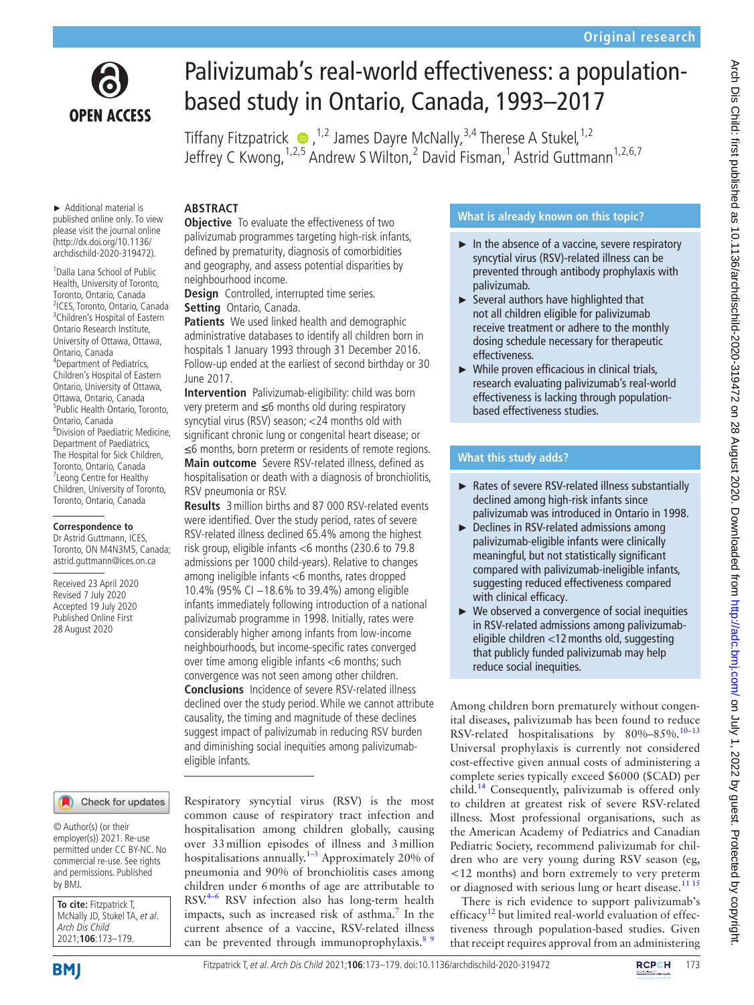

# Palivizumab's real-world effectiveness: a populationbased study in Ontario, Canada, 1993–2017

TiffanyFitzpatrick  $\bullet$  , <sup>1,2</sup> James Dayre McNally, <sup>3,4</sup> Therese A Stukel, <sup>1,2</sup> Jeffrey C Kwong, <sup>1,2,5</sup> Andrew S Wilton, 2 David Fisman, <sup>1</sup> Astrid Guttmann <sup>1,2,6,7</sup>

► Additional material is published online only. To view please visit the journal online [\(http://dx.doi.org/10.1136/](http://dx.doi.org/10.1136/archdischild-2020-319472) [archdischild-2020-319472](http://dx.doi.org/10.1136/archdischild-2020-319472)).

1 Dalla Lana School of Public Health, University of Toronto, Toronto, Ontario, Canada 2 ICES, Toronto, Ontario, Canada <sup>3</sup>Children's Hospital of Eastern Ontario Research Institute, University of Ottawa, Ottawa, Ontario, Canada 4 Department of Pediatrics, Children's Hospital of Eastern Ontario, University of Ottawa, Ottawa, Ontario, Canada 5 Public Health Ontario, Toronto, Ontario, Canada 6 Division of Paediatric Medicine, Department of Paediatrics, The Hospital for Sick Children, Toronto, Ontario, Canada <sup>7</sup> Leong Centre for Healthy Children, University of Toronto, Toronto, Ontario, Canada

#### **Correspondence to**

Dr Astrid Guttmann, ICES, Toronto, ON M4N3M5, Canada; astrid.guttmann@ices.on.ca

Received 23 April 2020 Revised 7 July 2020 Accepted 19 July 2020 Published Online First 28 August 2020

#### Check for updates

© Author(s) (or their employer(s)) 2021. Re-use permitted under CC BY-NC. No commercial re-use. See rights and permissions. Published by BMJ.

**To cite:** Fitzpatrick T, McNally JD, Stukel TA, et al. Arch Dis Child 2021;**106**:173–179.

## **Objective** To evaluate the effectiveness of two palivizumab programmes targeting high-risk infants, defined by prematurity, diagnosis of comorbidities and geography, and assess potential disparities by neighbourhood income.

**Design** Controlled, interrupted time series. **Setting** Ontario, Canada.

**ABSTRACT**

**Patients** We used linked health and demographic administrative databases to identify all children born in hospitals 1 January 1993 through 31 December 2016. Follow-up ended at the earliest of second birthday or 30 June 2017.

**Intervention** Palivizumab-eligibility: child was born very preterm and ≤6 months old during respiratory syncytial virus (RSV) season; <24 months old with significant chronic lung or congenital heart disease; or ≤6 months, born preterm or residents of remote regions. **Main outcome** Severe RSV-related illness, defined as hospitalisation or death with a diagnosis of bronchiolitis, RSV pneumonia or RSV.

**Results** 3million births and 87 000 RSV-related events were identified. Over the study period, rates of severe RSV-related illness declined 65.4% among the highest risk group, eligible infants <6 months (230.6 to 79.8 admissions per 1000 child-years). Relative to changes among ineligible infants <6 months, rates dropped 10.4% (95% CI −18.6% to 39.4%) among eligible infants immediately following introduction of a national palivizumab programme in 1998. Initially, rates were considerably higher among infants from low-income neighbourhoods, but income-specific rates converged over time among eligible infants <6 months; such convergence was not seen among other children. **Conclusions** Incidence of severe RSV-related illness declined over the study period. While we cannot attribute causality, the timing and magnitude of these declines suggest impact of palivizumab in reducing RSV burden and diminishing social inequities among palivizumabeligible infants.

Respiratory syncytial virus (RSV) is the most common cause of respiratory tract infection and hospitalisation among children globally, causing over 33million episodes of illness and 3million hospitalisations annually.<sup>1–3</sup> Approximately 20% of pneumonia and 90% of bronchiolitis cases among children under 6months of age are attributable to RSV.[4–6](#page-6-0) RSV infection also has long-term health impacts, such as increased risk of asthma.<sup>7</sup> In the current absence of a vaccine, RSV-related illness can be prevented through immunoprophylaxis.<sup>[8 9](#page-6-2)</sup>

# **What is already known on this topic?**

- $\blacktriangleright$  In the absence of a vaccine, severe respiratory syncytial virus (RSV)-related illness can be prevented through antibody prophylaxis with palivizumab.
- ► Several authors have highlighted that not all children eligible for palivizumab receive treatment or adhere to the monthly dosing schedule necessary for therapeutic effectiveness.
- ► While proven efficacious in clinical trials, research evaluating palivizumab's real-world effectiveness is lacking through populationbased effectiveness studies.

# **What this study adds?**

- ► Rates of severe RSV-related illness substantially declined among high-risk infants since palivizumab was introduced in Ontario in 1998.
- ► Declines in RSV-related admissions among palivizumab-eligible infants were clinically meaningful, but not statistically significant compared with palivizumab-ineligible infants, suggesting reduced effectiveness compared with clinical efficacy.
- ► We observed a convergence of social inequities in RSV-related admissions among palivizumabeligible children <12months old, suggesting that publicly funded palivizumab may help reduce social inequities.

Among children born prematurely without congenital diseases, palivizumab has been found to reduce RSV-related hospitalisations by  $80\% - 85\%$ .<sup>10-13</sup> Universal prophylaxis is currently not considered cost-effective given annual costs of administering a complete series typically exceed \$6000 (\$CAD) per child.<sup>14</sup> Consequently, palivizumab is offered only to children at greatest risk of severe RSV-related illness. Most professional organisations, such as the American Academy of Pediatrics and Canadian Pediatric Society, recommend palivizumab for children who are very young during RSV season (eg, <12 months) and born extremely to very preterm or diagnosed with serious lung or heart disease.<sup>11 15</sup>

There is rich evidence to support palivizumab's efficacy<sup>12</sup> but limited real-world evaluation of effectiveness through population-based studies. Given that receipt requires approval from an administering

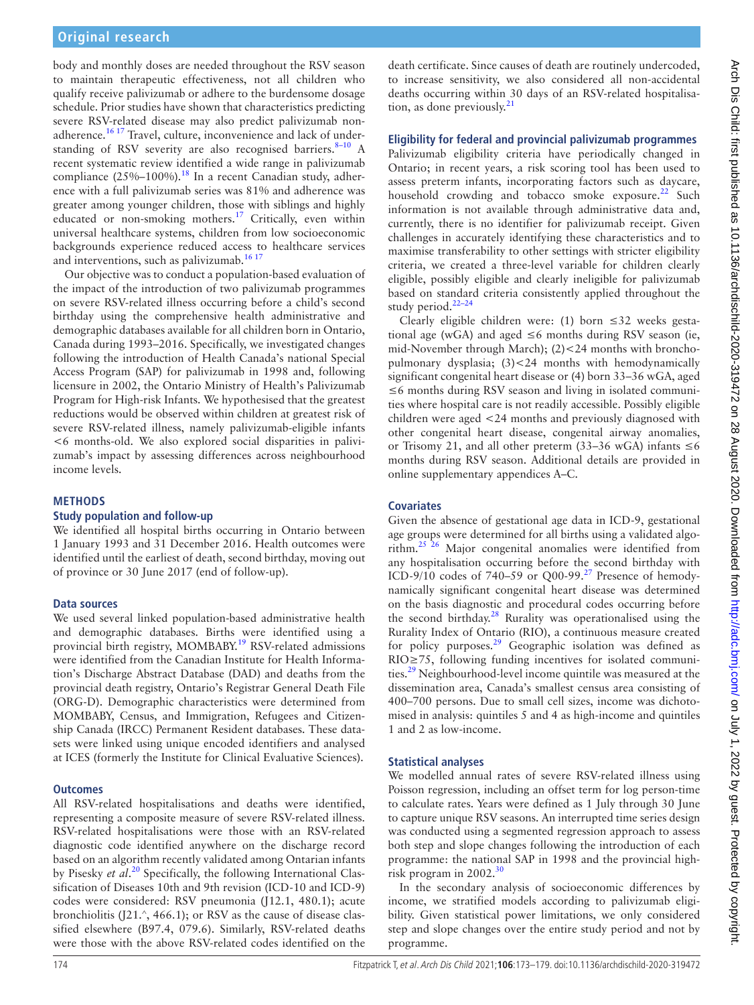# **Original research**

body and monthly doses are needed throughout the RSV season to maintain therapeutic effectiveness, not all children who qualify receive palivizumab or adhere to the burdensome dosage schedule. Prior studies have shown that characteristics predicting severe RSV-related disease may also predict palivizumab nonadherence.<sup>16 17</sup> Travel, culture, inconvenience and lack of understanding of RSV severity are also recognised barriers.<sup>8-10</sup> A recent systematic review identified a wide range in palivizumab compliance  $(25\%-100\%)$ .<sup>18</sup> In a recent Canadian study, adherence with a full palivizumab series was 81% and adherence was greater among younger children, those with siblings and highly educated or non-smoking mothers.<sup>[17](#page-6-9)</sup> Critically, even within universal healthcare systems, children from low socioeconomic backgrounds experience reduced access to healthcare services and interventions, such as palivizumab. $16 17$ 

Our objective was to conduct a population-based evaluation of the impact of the introduction of two palivizumab programmes on severe RSV-related illness occurring before a child's second birthday using the comprehensive health administrative and demographic databases available for all children born in Ontario, Canada during 1993–2016. Specifically, we investigated changes following the introduction of Health Canada's national Special Access Program (SAP) for palivizumab in 1998 and, following licensure in 2002, the Ontario Ministry of Health's Palivizumab Program for High-risk Infants. We hypothesised that the greatest reductions would be observed within children at greatest risk of severe RSV-related illness, namely palivizumab-eligible infants <6 months-old. We also explored social disparities in palivizumab's impact by assessing differences across neighbourhood income levels.

#### **METHODS**

#### **Study population and follow-up**

We identified all hospital births occurring in Ontario between 1 January 1993 and 31 December 2016. Health outcomes were identified until the earliest of death, second birthday, moving out of province or 30 June 2017 (end of follow-up).

## **Data sources**

We used several linked population-based administrative health and demographic databases. Births were identified using a provincial birth registry, MOMBABY.<sup>[19](#page-6-10)</sup> RSV-related admissions were identified from the Canadian Institute for Health Information's Discharge Abstract Database (DAD) and deaths from the provincial death registry, Ontario's Registrar General Death File (ORG-D). Demographic characteristics were determined from MOMBABY, Census, and Immigration, Refugees and Citizenship Canada (IRCC) Permanent Resident databases. These datasets were linked using unique encoded identifiers and analysed at ICES (formerly the Institute for Clinical Evaluative Sciences).

#### **Outcomes**

All RSV-related hospitalisations and deaths were identified, representing a composite measure of severe RSV-related illness. RSV-related hospitalisations were those with an RSV-related diagnostic code identified anywhere on the discharge record based on an algorithm recently validated among Ontarian infants by Pisesky *et al*. [20](#page-6-11) Specifically, the following International Classification of Diseases 10th and 9th revision (ICD-10 and ICD-9) codes were considered: RSV pneumonia (J12.1, 480.1); acute bronchiolitis (J21.<sup>∧</sup> , 466.1); or RSV as the cause of disease classified elsewhere (B97.4, 079.6). Similarly, RSV-related deaths were those with the above RSV-related codes identified on the

death certificate. Since causes of death are routinely undercoded, to increase sensitivity, we also considered all non-accidental deaths occurring within 30 days of an RSV-related hospitalisa-tion, as done previously.<sup>[21](#page-6-12)</sup>

#### **Eligibility for federal and provincial palivizumab programmes**

Palivizumab eligibility criteria have periodically changed in Ontario; in recent years, a risk scoring tool has been used to assess preterm infants, incorporating factors such as daycare, household crowding and tobacco smoke exposure.<sup>[22](#page-6-13)</sup> Such information is not available through administrative data and, currently, there is no identifier for palivizumab receipt. Given challenges in accurately identifying these characteristics and to maximise transferability to other settings with stricter eligibility criteria, we created a three-level variable for children clearly eligible, possibly eligible and clearly ineligible for palivizumab based on standard criteria consistently applied throughout the study period. $22-24$ 

Clearly eligible children were: (1) born ≤32 weeks gestational age (wGA) and aged  $\leq 6$  months during RSV season (ie, mid-November through March); (2)<24 months with bronchopulmonary dysplasia; (3)<24 months with hemodynamically significant congenital heart disease or (4) born 33–36 wGA, aged ≤6 months during RSV season and living in isolated communities where hospital care is not readily accessible. Possibly eligible children were aged <24 months and previously diagnosed with other congenital heart disease, congenital airway anomalies, or Trisomy 21, and all other preterm (33–36 wGA) infants  $\leq 6$ months during RSV season. Additional details are provided in [online supplementary appendices A–C](https://dx.doi.org/10.1136/archdischild-2020-319472).

#### **Covariates**

Given the absence of gestational age data in ICD-9, gestational age groups were determined for all births using a validated algorithm.[25 26](#page-6-14) Major congenital anomalies were identified from any hospitalisation occurring before the second birthday with ICD-9/10 codes of 740–59 or Q00-99.<sup>27</sup> Presence of hemodynamically significant congenital heart disease was determined on the basis diagnostic and procedural codes occurring before the second birthday. $28$  Rurality was operationalised using the Rurality Index of Ontario (RIO), a continuous measure created for policy purposes.<sup>[29](#page-6-17)</sup> Geographic isolation was defined as RIO≥75, following funding incentives for isolated communities.<sup>29</sup> Neighbourhood-level income quintile was measured at the dissemination area, Canada's smallest census area consisting of 400–700 persons. Due to small cell sizes, income was dichotomised in analysis: quintiles 5 and 4 as high-income and quintiles 1 and 2 as low-income.

#### **Statistical analyses**

We modelled annual rates of severe RSV-related illness using Poisson regression, including an offset term for log person-time to calculate rates. Years were defined as 1 July through 30 June to capture unique RSV seasons. An interrupted time series design was conducted using a segmented regression approach to assess both step and slope changes following the introduction of each programme: the national SAP in 1998 and the provincial highrisk program in 2002.[30](#page-6-18)

In the secondary analysis of socioeconomic differences by income, we stratified models according to palivizumab eligibility. Given statistical power limitations, we only considered step and slope changes over the entire study period and not by programme.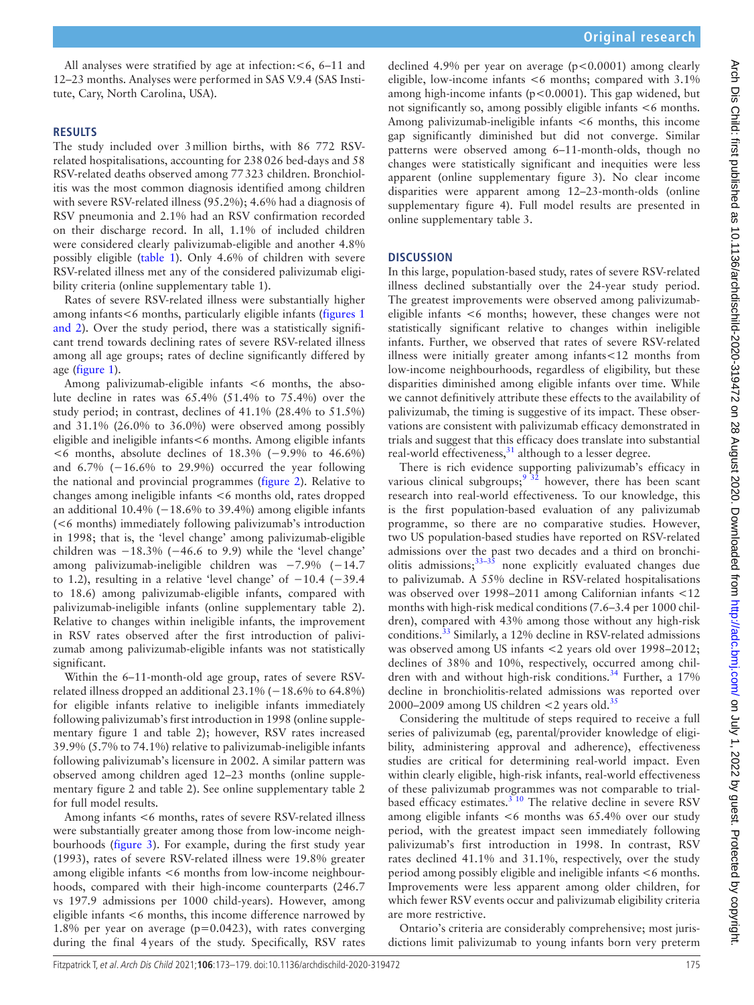All analyses were stratified by age at infection:<6, 6–11 and 12–23 months. Analyses were performed in SAS V.9.4 (SAS Institute, Cary, North Carolina, USA).

#### **RESULTS**

The study included over 3million births, with 86 772 RSVrelated hospitalisations, accounting for 238026 bed-days and 58 RSV-related deaths observed among 77323 children. Bronchiolitis was the most common diagnosis identified among children with severe RSV-related illness (95.2%); 4.6% had a diagnosis of RSV pneumonia and 2.1% had an RSV confirmation recorded on their discharge record. In all, 1.1% of included children were considered clearly palivizumab-eligible and another 4.8% possibly eligible [\(table](#page-3-0) 1). Only 4.6% of children with severe RSV-related illness met any of the considered palivizumab eligibility criteria ([online supplementary table 1\)](https://dx.doi.org/10.1136/archdischild-2020-319472).

Rates of severe RSV-related illness were substantially higher among infants<6 months, particularly eligible infants ([figures](#page-4-0) 1 [and 2\)](#page-4-0). Over the study period, there was a statistically significant trend towards declining rates of severe RSV-related illness among all age groups; rates of decline significantly differed by age [\(figure](#page-4-0) 1).

Among palivizumab-eligible infants <6 months, the absolute decline in rates was 65.4% (51.4% to 75.4%) over the study period; in contrast, declines of 41.1% (28.4% to 51.5%) and 31.1% (26.0% to 36.0%) were observed among possibly eligible and ineligible infants<6 months. Among eligible infants <6 months, absolute declines of 18.3% (−9.9% to 46.6%) and 6.7% (−16.6% to 29.9%) occurred the year following the national and provincial programmes [\(figure](#page-4-1) 2). Relative to changes among ineligible infants <6 months old, rates dropped an additional 10.4% (−18.6% to 39.4%) among eligible infants (<6 months) immediately following palivizumab's introduction in 1998; that is, the 'level change' among palivizumab-eligible children was  $-18.3\%$  ( $-46.6$  to 9.9) while the 'level change' among palivizumab-ineligible children was −7.9% (−14.7 to 1.2), resulting in a relative 'level change' of −10.4 (−39.4 to 18.6) among palivizumab-eligible infants, compared with palivizumab-ineligible infants ([online supplementary table 2](https://dx.doi.org/10.1136/archdischild-2020-319472)). Relative to changes within ineligible infants, the improvement in RSV rates observed after the first introduction of palivizumab among palivizumab-eligible infants was not statistically significant.

Within the 6–11-month-old age group, rates of severe RSVrelated illness dropped an additional 23.1% (−18.6% to 64.8%) for eligible infants relative to ineligible infants immediately following palivizumab's first introduction in 1998 ([online supple](https://dx.doi.org/10.1136/archdischild-2020-319472)[mentary figure 1 and table 2\)](https://dx.doi.org/10.1136/archdischild-2020-319472); however, RSV rates increased 39.9% (5.7% to 74.1%) relative to palivizumab-ineligible infants following palivizumab's licensure in 2002. A similar pattern was observed among children aged 12–23 months [\(online supple](https://dx.doi.org/10.1136/archdischild-2020-319472)[mentary figure 2 and table 2](https://dx.doi.org/10.1136/archdischild-2020-319472)). See [online supplementary table 2](https://dx.doi.org/10.1136/archdischild-2020-319472)  for full model results.

Among infants <6 months, rates of severe RSV-related illness were substantially greater among those from low-income neighbourhoods ([figure](#page-5-1) 3). For example, during the first study year (1993), rates of severe RSV-related illness were 19.8% greater among eligible infants <6 months from low-income neighbourhoods, compared with their high-income counterparts (246.7 vs 197.9 admissions per 1000 child-years). However, among eligible infants <6 months, this income difference narrowed by 1.8% per year on average ( $p=0.0423$ ), with rates converging during the final 4years of the study. Specifically, RSV rates

declined 4.9% per year on average (p<0.0001) among clearly eligible, low-income infants <6 months; compared with 3.1% among high-income infants ( $p < 0.0001$ ). This gap widened, but not significantly so, among possibly eligible infants <6 months. Among palivizumab-ineligible infants <6 months, this income gap significantly diminished but did not converge. Similar patterns were observed among 6–11-month-olds, though no changes were statistically significant and inequities were less apparent [\(online supplementary figure 3](https://dx.doi.org/10.1136/archdischild-2020-319472)). No clear income disparities were apparent among 12–23-month-olds [\(online](https://dx.doi.org/10.1136/archdischild-2020-319472) [supplementary figure 4](https://dx.doi.org/10.1136/archdischild-2020-319472)). Full model results are presented in [online supplementary table 3.](https://dx.doi.org/10.1136/archdischild-2020-319472)

#### **DISCUSSION**

In this large, population-based study, rates of severe RSV-related illness declined substantially over the 24-year study period. The greatest improvements were observed among palivizumabeligible infants <6 months; however, these changes were not statistically significant relative to changes within ineligible infants. Further, we observed that rates of severe RSV-related illness were initially greater among infants<12 months from low-income neighbourhoods, regardless of eligibility, but these disparities diminished among eligible infants over time. While we cannot definitively attribute these effects to the availability of palivizumab, the timing is suggestive of its impact. These observations are consistent with palivizumab efficacy demonstrated in trials and suggest that this efficacy does translate into substantial real-world effectiveness, $31$  although to a lesser degree.

There is rich evidence supporting palivizumab's efficacy in various clinical subgroups;<sup>9</sup>  $32$  however, there has been scant research into real-world effectiveness. To our knowledge, this is the first population-based evaluation of any palivizumab programme, so there are no comparative studies. However, two US population-based studies have reported on RSV-related admissions over the past two decades and a third on bronchiolitis admissions;  $33-35$  none explicitly evaluated changes due to palivizumab. A 55% decline in RSV-related hospitalisations was observed over 1998–2011 among Californian infants <12 months with high-risk medical conditions (7.6–3.4 per 1000 children), compared with 43% among those without any high-risk conditions.<sup>[33](#page-6-21)</sup> Similarly, a 12% decline in RSV-related admissions was observed among US infants <2 years old over 1998–2012; declines of 38% and 10%, respectively, occurred among children with and without high-risk conditions.<sup>34</sup> Further, a 17% decline in bronchiolitis-related admissions was reported over 2000–2009 among US children  $<$ 2 years old.<sup>[35](#page-6-23)</sup>

Considering the multitude of steps required to receive a full series of palivizumab (eg, parental/provider knowledge of eligibility, administering approval and adherence), effectiveness studies are critical for determining real-world impact. Even within clearly eligible, high-risk infants, real-world effectiveness of these palivizumab programmes was not comparable to trialbased efficacy estimates.<sup>3 10</sup> The relative decline in severe RSV among eligible infants <6 months was 65.4% over our study period, with the greatest impact seen immediately following palivizumab's first introduction in 1998. In contrast, RSV rates declined 41.1% and 31.1%, respectively, over the study period among possibly eligible and ineligible infants <6 months. Improvements were less apparent among older children, for which fewer RSV events occur and palivizumab eligibility criteria are more restrictive.

Ontario's criteria are considerably comprehensive; most jurisdictions limit palivizumab to young infants born very preterm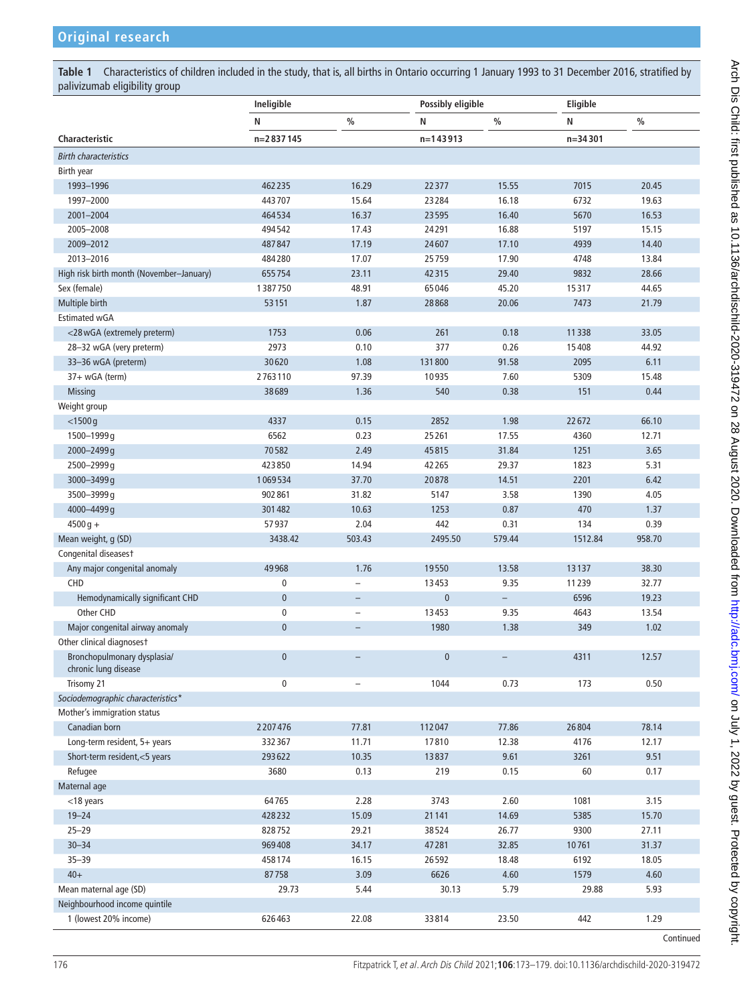<span id="page-3-0"></span>**Table 1** Characteristics of children included in the study, that is, all births in Ontario occurring 1 January 1993 to 31 December 2016, stratified by palivizumab eligibility group

|                                                     | Ineligible  |                          |            | Possibly eligible        |             | Eligible  |  |
|-----------------------------------------------------|-------------|--------------------------|------------|--------------------------|-------------|-----------|--|
|                                                     | Ν           | $\%$                     | N          | $\frac{0}{0}$            | Ν           | $\%$      |  |
| Characteristic                                      | n=2837145   |                          | $n=143913$ |                          | $n = 34301$ |           |  |
| <b>Birth characteristics</b>                        |             |                          |            |                          |             |           |  |
| Birth year                                          |             |                          |            |                          |             |           |  |
| 1993-1996                                           | 462235      | 16.29                    | 22377      | 15.55                    | 7015        | 20.45     |  |
| 1997-2000                                           | 443707      | 15.64                    | 23284      | 16.18                    | 6732        | 19.63     |  |
| 2001-2004                                           | 464534      | 16.37                    | 23595      | 16.40                    | 5670        | 16.53     |  |
| 2005-2008                                           | 494542      | 17.43                    | 24291      | 16.88                    | 5197        | 15.15     |  |
| 2009-2012                                           | 487847      | 17.19                    | 24607      | 17.10                    | 4939        | 14.40     |  |
| 2013-2016                                           | 484280      | 17.07                    | 25759      | 17.90                    | 4748        | 13.84     |  |
| High risk birth month (November-January)            | 655754      | 23.11                    | 42315      | 29.40                    | 9832        | 28.66     |  |
| Sex (female)                                        | 1387750     | 48.91                    | 65046      | 45.20                    | 15317       | 44.65     |  |
| Multiple birth                                      | 53151       | 1.87                     | 28868      | 20.06                    | 7473        | 21.79     |  |
| Estimated wGA                                       |             |                          |            |                          |             |           |  |
| <28 wGA (extremely preterm)                         | 1753        | 0.06                     | 261        | 0.18                     | 11338       | 33.05     |  |
| 28-32 wGA (very preterm)                            | 2973        | 0.10                     | 377        | 0.26                     | 15408       | 44.92     |  |
| 33-36 wGA (preterm)                                 | 30620       | 1.08                     | 131800     | 91.58                    | 2095        | 6.11      |  |
| 37+ wGA (term)                                      | 2763110     | 97.39                    | 10935      | 7.60                     | 5309        | 15.48     |  |
| Missing                                             | 38689       | 1.36                     | 540        | 0.38                     | 151         | 0.44      |  |
| Weight group                                        |             |                          |            |                          |             |           |  |
| $<$ 1500 q                                          | 4337        | 0.15                     | 2852       | 1.98                     | 22672       | 66.10     |  |
| 1500-1999 g                                         | 6562        | 0.23                     | 25261      | 17.55                    | 4360        | 12.71     |  |
| 2000-2499g                                          | 70582       | 2.49                     | 45815      | 31.84                    | 1251        | 3.65      |  |
| 2500-2999 g                                         | 423850      | 14.94                    | 42265      | 29.37                    | 1823        | 5.31      |  |
| 3000-3499 g                                         | 1069534     | 37.70                    | 20878      | 14.51                    | 2201        | 6.42      |  |
| 3500-3999 q                                         | 902 861     | 31.82                    | 5147       | 3.58                     | 1390        | 4.05      |  |
| 4000-4499 g                                         | 301482      | 10.63                    | 1253       | 0.87                     | 470         | 1.37      |  |
| $4500 g +$                                          | 57937       | 2.04                     | 442        | 0.31                     | 134         | 0.39      |  |
| Mean weight, g (SD)                                 | 3438.42     | 503.43                   | 2495.50    | 579.44                   | 1512.84     | 958.70    |  |
| Congenital diseases +                               |             |                          |            |                          |             |           |  |
| Any major congenital anomaly                        | 49968       | 1.76                     | 19550      | 13.58                    | 13137       | 38.30     |  |
| CHD                                                 | 0           | $\overline{\phantom{0}}$ | 13453      | 9.35                     | 11239       | 32.77     |  |
| Hemodynamically significant CHD                     | $\pmb{0}$   | $\equiv$                 | $\pmb{0}$  | $\qquad \qquad -$        | 6596        | 19.23     |  |
| Other CHD                                           | 0           | $\qquad \qquad -$        | 13453      | 9.35                     | 4643        | 13.54     |  |
| Major congenital airway anomaly                     | $\pmb{0}$   | $\overline{\phantom{a}}$ | 1980       | 1.38                     | 349         | 1.02      |  |
| Other clinical diagnosest                           |             |                          |            |                          |             |           |  |
| Bronchopulmonary dysplasia/<br>chronic lung disease | $\pmb{0}$   | $\overline{\phantom{0}}$ | $\pmb{0}$  | $\overline{\phantom{0}}$ | 4311        | 12.57     |  |
| Trisomy 21                                          | $\mathbf 0$ |                          | 1044       | 0.73                     | 173         | 0.50      |  |
| Sociodemographic characteristics*                   |             |                          |            |                          |             |           |  |
| Mother's immigration status                         |             |                          |            |                          |             |           |  |
| Canadian born                                       | 2207476     | 77.81                    | 112047     | 77.86                    | 26804       | 78.14     |  |
| Long-term resident, 5+ years                        | 332367      | 11.71                    | 17810      | 12.38                    | 4176        | 12.17     |  |
| Short-term resident, <5 years                       | 293622      | 10.35                    | 13837      | 9.61                     | 3261        | 9.51      |  |
| Refugee                                             | 3680        | 0.13                     | 219        | 0.15                     | 60          | 0.17      |  |
| Maternal age                                        |             |                          |            |                          |             |           |  |
| <18 years                                           | 64765       | 2.28                     | 3743       | 2.60                     | 1081        | 3.15      |  |
| $19 - 24$                                           | 428232      | 15.09                    | 21 1 41    | 14.69                    | 5385        | 15.70     |  |
| $25 - 29$                                           | 828752      | 29.21                    | 38524      | 26.77                    | 9300        | 27.11     |  |
| $30 - 34$                                           | 969408      | 34.17                    | 47281      | 32.85                    | 10761       | 31.37     |  |
| $35 - 39$                                           | 458174      | 16.15                    | 26592      | 18.48                    | 6192        | 18.05     |  |
| $40+$                                               | 87758       | 3.09                     | 6626       | 4.60                     | 1579        | 4.60      |  |
| Mean maternal age (SD)                              | 29.73       | 5.44                     | 30.13      | 5.79                     | 29.88       | 5.93      |  |
| Neighbourhood income quintile                       |             |                          |            |                          |             |           |  |
| 1 (lowest 20% income)                               | 626463      | 22.08                    | 33814      | 23.50                    | 442         | 1.29      |  |
|                                                     |             |                          |            |                          |             | Continued |  |

Arch Dis Child: first published as 10.1136/archdischild-2020-319472 on 28 August 2020. Downloaded from http://adc.bmj.com/ on July 1, 2022 by guest. Protected by copyright. Arch Dis Child: first published as 10.1136/archdischild-2020-319472 on 28 August 2020. Downloaded from <http://adc.bmj.com/> on July 1, 2022 by guest. Protected by copyright.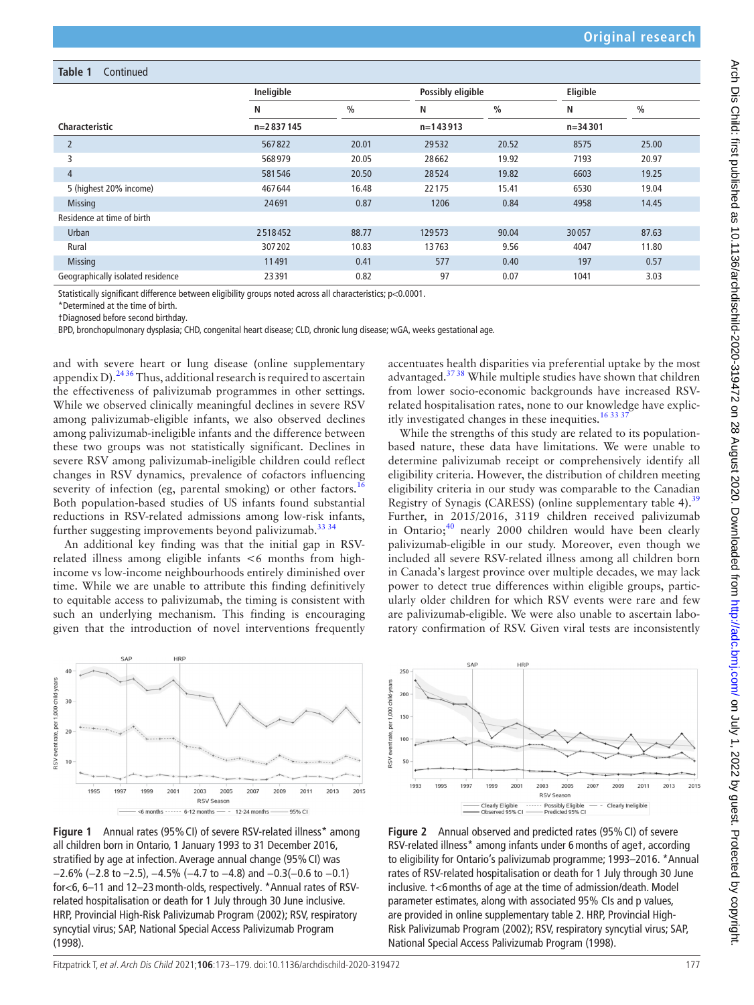## **Table 1** Continued

|                                   | Ineligible |               | Possibly eligible |               | Eligible  |               |
|-----------------------------------|------------|---------------|-------------------|---------------|-----------|---------------|
|                                   | N          | $\frac{0}{0}$ | Ν                 | $\frac{0}{0}$ | Ν         | $\frac{0}{0}$ |
| Characteristic                    | n=2837145  |               | $n=143913$        |               | $n=34301$ |               |
| $\overline{2}$                    | 567822     | 20.01         | 29532             | 20.52         | 8575      | 25.00         |
| 3                                 | 568979     | 20.05         | 28662             | 19.92         | 7193      | 20.97         |
| 4                                 | 581546     | 20.50         | 28524             | 19.82         | 6603      | 19.25         |
| 5 (highest 20% income)            | 467644     | 16.48         | 22175             | 15.41         | 6530      | 19.04         |
| <b>Missing</b>                    | 24691      | 0.87          | 1206              | 0.84          | 4958      | 14.45         |
| Residence at time of birth        |            |               |                   |               |           |               |
| Urban                             | 2518452    | 88.77         | 129573            | 90.04         | 30057     | 87.63         |
| Rural                             | 307202     | 10.83         | 13763             | 9.56          | 4047      | 11.80         |
| <b>Missing</b>                    | 11491      | 0.41          | 577               | 0.40          | 197       | 0.57          |
| Geographically isolated residence | 23391      | 0.82          | 97                | 0.07          | 1041      | 3.03          |

Statistically significant difference between eligibility groups noted across all characteristics; p<0.0001.

\*Determined at the time of birth.

†Diagnosed before second birthday.

BPD, bronchopulmonary dysplasia; CHD, congenital heart disease; CLD, chronic lung disease; wGA, weeks gestational age.

and with severe heart or lung disease [\(online supplementary](https://dx.doi.org/10.1136/archdischild-2020-319472)  [appendix D](https://dx.doi.org/10.1136/archdischild-2020-319472)).<sup>2436</sup> Thus, additional research is required to ascertain the effectiveness of palivizumab programmes in other settings. While we observed clinically meaningful declines in severe RSV among palivizumab-eligible infants, we also observed declines among palivizumab-ineligible infants and the difference between these two groups was not statistically significant. Declines in severe RSV among palivizumab-ineligible children could reflect changes in RSV dynamics, prevalence of cofactors influencing severity of infection (eg, parental smoking) or other factors.<sup>[16](#page-6-7)</sup> Both population-based studies of US infants found substantial reductions in RSV-related admissions among low-risk infants, further suggesting improvements beyond palivizumab.<sup>[33 34](#page-6-21)</sup>

An additional key finding was that the initial gap in RSVrelated illness among eligible infants <6 months from highincome vs low-income neighbourhoods entirely diminished over time. While we are unable to attribute this finding definitively to equitable access to palivizumab, the timing is consistent with such an underlying mechanism. This finding is encouraging given that the introduction of novel interventions frequently



<span id="page-4-0"></span>**Figure 1** Annual rates (95%CI) of severe RSV-related illness\* among all children born in Ontario, 1 January 1993 to 31 December 2016, stratified by age at infection. Average annual change (95%CI) was −2.6% (−2.8 to –2.5), −4.5% (−4.7 to −4.8) and −0.3(−0.6 to −0.1) for<6, 6–11 and 12–23month-olds, respectively. \*Annual rates of RSVrelated hospitalisation or death for 1 July through 30 June inclusive. HRP, Provincial High-Risk Palivizumab Program (2002); RSV, respiratory syncytial virus; SAP, National Special Access Palivizumab Program (1998).

accentuates health disparities via preferential uptake by the most advantaged.[37 38](#page-6-26) While multiple studies have shown that children from lower socio-economic backgrounds have increased RSVrelated hospitalisation rates, none to our knowledge have explicitly investigated changes in these inequities.<sup>16 33</sup>

While the strengths of this study are related to its populationbased nature, these data have limitations. We were unable to determine palivizumab receipt or comprehensively identify all eligibility criteria. However, the distribution of children meeting eligibility criteria in our study was comparable to the Canadian Registry of Synagis (CARESS) [\(online supplementary table 4](https://dx.doi.org/10.1136/archdischild-2020-319472)).<sup>[39](#page-6-27)</sup> Further, in 2015/2016, 3119 children received palivizumab in Ontario;<sup>[40](#page-6-28)</sup> nearly 2000 children would have been clearly palivizumab-eligible in our study. Moreover, even though we included all severe RSV-related illness among all children born in Canada's largest province over multiple decades, we may lack power to detect true differences within eligible groups, particularly older children for which RSV events were rare and few are palivizumab-eligible. We were also unable to ascertain laboratory confirmation of RSV. Given viral tests are inconsistently



<span id="page-4-1"></span>**Figure 2** Annual observed and predicted rates (95%CI) of severe RSV-related illness\* among infants under 6months of age†, according to eligibility for Ontario's palivizumab programme; 1993–2016. \*Annual rates of RSV-related hospitalisation or death for 1 July through 30 June inclusive. †<6months of age at the time of admission/death. Model parameter estimates, along with associated 95% CIs and p values, are provided in [online supplementary table 2](https://dx.doi.org/10.1136/archdischild-2020-319472). HRP, Provincial High-Risk Palivizumab Program (2002); RSV, respiratory syncytial virus; SAP, National Special Access Palivizumab Program (1998).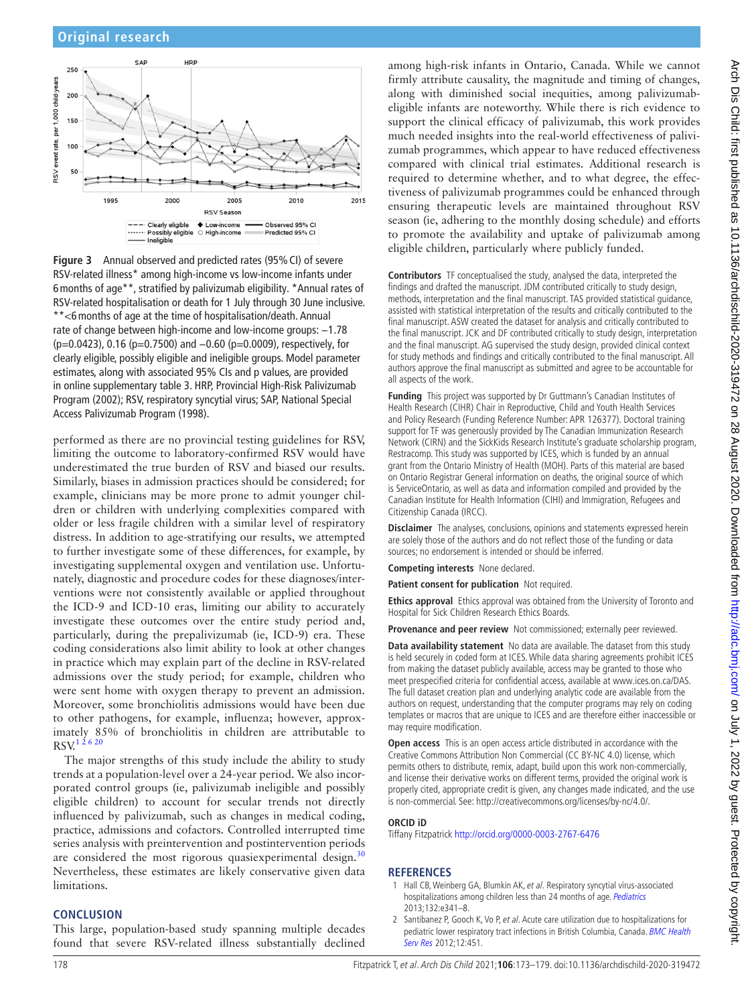

<span id="page-5-1"></span>**Figure 3** Annual observed and predicted rates (95%CI) of severe RSV-related illness\* among high-income vs low-income infants under 6months of age\*\*, stratified by palivizumab eligibility. \*Annual rates of RSV-related hospitalisation or death for 1 July through 30 June inclusive. \*\*<6months of age at the time of hospitalisation/death. Annual rate of change between high-income and low-income groups: −1.78 (p=0.0423), 0.16 (p=0.7500) and −0.60 (p=0.0009), respectively, for clearly eligible, possibly eligible and ineligible groups. Model parameter estimates, along with associated 95% CIs and p values, are provided in [online supplementary table 3.](https://dx.doi.org/10.1136/archdischild-2020-319472) HRP, Provincial High-Risk Palivizumab Program (2002); RSV, respiratory syncytial virus; SAP, National Special Access Palivizumab Program (1998).

performed as there are no provincial testing guidelines for RSV, limiting the outcome to laboratory-confirmed RSV would have underestimated the true burden of RSV and biased our results. Similarly, biases in admission practices should be considered; for example, clinicians may be more prone to admit younger children or children with underlying complexities compared with older or less fragile children with a similar level of respiratory distress. In addition to age-stratifying our results, we attempted to further investigate some of these differences, for example, by investigating supplemental oxygen and ventilation use. Unfortunately, diagnostic and procedure codes for these diagnoses/interventions were not consistently available or applied throughout the ICD-9 and ICD-10 eras, limiting our ability to accurately investigate these outcomes over the entire study period and, particularly, during the prepalivizumab (ie, ICD-9) era. These coding considerations also limit ability to look at other changes in practice which may explain part of the decline in RSV-related admissions over the study period; for example, children who were sent home with oxygen therapy to prevent an admission. Moreover, some bronchiolitis admissions would have been due to other pathogens, for example, influenza; however, approximately 85% of bronchiolitis in children are attributable to  $RSV<sup>1 2 6 20</sup>$  $RSV<sup>1 2 6 20</sup>$  $RSV<sup>1 2 6 20</sup>$ 

The major strengths of this study include the ability to study trends at a population-level over a 24-year period. We also incorporated control groups (ie, palivizumab ineligible and possibly eligible children) to account for secular trends not directly influenced by palivizumab, such as changes in medical coding, practice, admissions and cofactors. Controlled interrupted time series analysis with preintervention and postintervention periods are considered the most rigorous quasiexperimental design.<sup>[30](#page-6-18)</sup> Nevertheless, these estimates are likely conservative given data limitations.

## **CONCLUSION**

This large, population-based study spanning multiple decades found that severe RSV-related illness substantially declined

among high-risk infants in Ontario, Canada. While we cannot firmly attribute causality, the magnitude and timing of changes, along with diminished social inequities, among palivizumabeligible infants are noteworthy. While there is rich evidence to support the clinical efficacy of palivizumab, this work provides much needed insights into the real-world effectiveness of palivizumab programmes, which appear to have reduced effectiveness compared with clinical trial estimates. Additional research is required to determine whether, and to what degree, the effectiveness of palivizumab programmes could be enhanced through ensuring therapeutic levels are maintained throughout RSV season (ie, adhering to the monthly dosing schedule) and efforts to promote the availability and uptake of palivizumab among eligible children, particularly where publicly funded.

**Contributors** TF conceptualised the study, analysed the data, interpreted the findings and drafted the manuscript. JDM contributed critically to study design. methods, interpretation and the final manuscript. TAS provided statistical guidance, assisted with statistical interpretation of the results and critically contributed to the final manuscript. ASW created the dataset for analysis and critically contributed to the final manuscript. JCK and DF contributed critically to study design, interpretation and the final manuscript. AG supervised the study design, provided clinical context for study methods and findings and critically contributed to the final manuscript. All authors approve the final manuscript as submitted and agree to be accountable for all aspects of the work.

**Funding** This project was supported by Dr Guttmann's Canadian Institutes of Health Research (CIHR) Chair in Reproductive, Child and Youth Health Services and Policy Research (Funding Reference Number: APR 126377). Doctoral training support for TF was generously provided by The Canadian Immunization Research Network (CIRN) and the SickKids Research Institute's graduate scholarship program, Restracomp. This study was supported by ICES, which is funded by an annual grant from the Ontario Ministry of Health (MOH). Parts of this material are based on Ontario Registrar General information on deaths, the original source of which is ServiceOntario, as well as data and information compiled and provided by the Canadian Institute for Health Information (CIHI) and Immigration, Refugees and Citizenship Canada (IRCC).

**Disclaimer** The analyses, conclusions, opinions and statements expressed herein are solely those of the authors and do not reflect those of the funding or data sources; no endorsement is intended or should be inferred.

**Competing interests** None declared.

**Patient consent for publication** Not required.

**Ethics approval** Ethics approval was obtained from the University of Toronto and Hospital for Sick Children Research Ethics Boards.

**Provenance and peer review** Not commissioned; externally peer reviewed.

**Data availability statement** No data are available. The dataset from this study is held securely in coded form at ICES. While data sharing agreements prohibit ICES from making the dataset publicly available, access may be granted to those who meet prespecified criteria for confidential access, available at [www.ices.on.ca/DAS](http://www.ices.on.ca/DAS). The full dataset creation plan and underlying analytic code are available from the authors on request, understanding that the computer programs may rely on coding templates or macros that are unique to ICES and are therefore either inaccessible or may require modification.

**Open access** This is an open access article distributed in accordance with the Creative Commons Attribution Non Commercial (CC BY-NC 4.0) license, which permits others to distribute, remix, adapt, build upon this work non-commercially, and license their derivative works on different terms, provided the original work is properly cited, appropriate credit is given, any changes made indicated, and the use is non-commercial. See: [http://creativecommons.org/licenses/by-nc/4.0/.](http://creativecommons.org/licenses/by-nc/4.0/)

## **ORCID iD**

Tiffany Fitzpatrick<http://orcid.org/0000-0003-2767-6476>

# **REFERENCES**

- <span id="page-5-0"></span>1 Hall CB, Weinberg GA, Blumkin AK, et al. Respiratory syncytial virus-associated hospitalizations among children less than 24 months of age. [Pediatrics](http://dx.doi.org/10.1542/peds.2013-0303) 2013;132:e341–8.
- 2 Santibanez P, Gooch K, Vo P, et al. Acute care utilization due to hospitalizations for pediatric lower respiratory tract infections in British Columbia, Canada. BMC Health [Serv Res](http://dx.doi.org/10.1186/1472-6963-12-451) 2012;12:451.